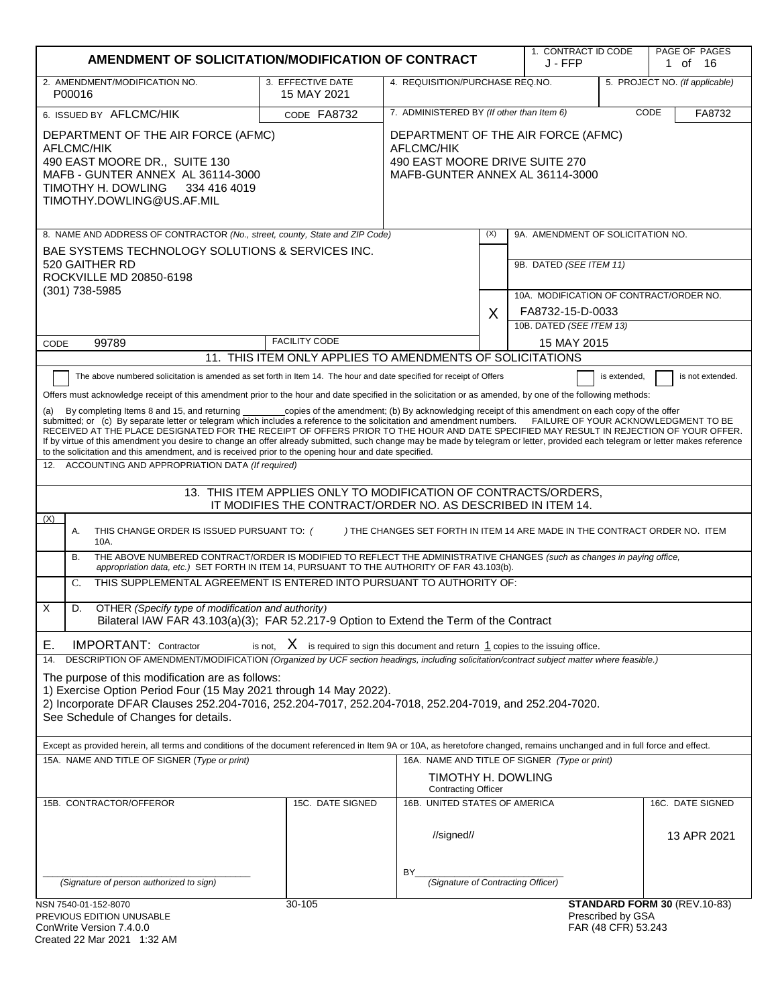|                                                                                                                                                                                                                                                                                                                                                                                                                                                                                                                                                                                                                                                                                                                                                                                                                                                                                                                                                                                                                                                                                                                                                                                                                                                                                                                                                                                                                                                                                                                                                                                                                                                                                                                                                                                                                                                                                                                                                                                                                                                                                                                                                                                                                                                                                                                                                                                                                                                                                         | AMENDMENT OF SOLICITATION/MODIFICATION OF CONTRACT                                                                           |                                                   |     | 1. CONTRACT ID CODE<br>J - FFP                              |                                          | PAGE OF PAGES<br>1 of 16       |
|-----------------------------------------------------------------------------------------------------------------------------------------------------------------------------------------------------------------------------------------------------------------------------------------------------------------------------------------------------------------------------------------------------------------------------------------------------------------------------------------------------------------------------------------------------------------------------------------------------------------------------------------------------------------------------------------------------------------------------------------------------------------------------------------------------------------------------------------------------------------------------------------------------------------------------------------------------------------------------------------------------------------------------------------------------------------------------------------------------------------------------------------------------------------------------------------------------------------------------------------------------------------------------------------------------------------------------------------------------------------------------------------------------------------------------------------------------------------------------------------------------------------------------------------------------------------------------------------------------------------------------------------------------------------------------------------------------------------------------------------------------------------------------------------------------------------------------------------------------------------------------------------------------------------------------------------------------------------------------------------------------------------------------------------------------------------------------------------------------------------------------------------------------------------------------------------------------------------------------------------------------------------------------------------------------------------------------------------------------------------------------------------------------------------------------------------------------------------------------------------|------------------------------------------------------------------------------------------------------------------------------|---------------------------------------------------|-----|-------------------------------------------------------------|------------------------------------------|--------------------------------|
| 2. AMENDMENT/MODIFICATION NO.<br>P00016                                                                                                                                                                                                                                                                                                                                                                                                                                                                                                                                                                                                                                                                                                                                                                                                                                                                                                                                                                                                                                                                                                                                                                                                                                                                                                                                                                                                                                                                                                                                                                                                                                                                                                                                                                                                                                                                                                                                                                                                                                                                                                                                                                                                                                                                                                                                                                                                                                                 | 3. EFFECTIVE DATE<br>4. REQUISITION/PURCHASE REQ.NO.<br>15 MAY 2021                                                          |                                                   |     |                                                             |                                          | 5. PROJECT NO. (If applicable) |
| 6. ISSUED BY AFLCMC/HIK                                                                                                                                                                                                                                                                                                                                                                                                                                                                                                                                                                                                                                                                                                                                                                                                                                                                                                                                                                                                                                                                                                                                                                                                                                                                                                                                                                                                                                                                                                                                                                                                                                                                                                                                                                                                                                                                                                                                                                                                                                                                                                                                                                                                                                                                                                                                                                                                                                                                 | CODE FA8732                                                                                                                  | 7. ADMINISTERED BY (If other than Item 6)<br>CODE |     |                                                             | FA8732                                   |                                |
| DEPARTMENT OF THE AIR FORCE (AFMC)<br><b>AFLCMC/HIK</b><br>490 EAST MOORE DR., SUITE 130<br>MAFB - GUNTER ANNEX AL 36114-3000<br>TIMOTHY H. DOWLING<br>334 416 4019<br>TIMOTHY.DOWLING@US.AF.MIL                                                                                                                                                                                                                                                                                                                                                                                                                                                                                                                                                                                                                                                                                                                                                                                                                                                                                                                                                                                                                                                                                                                                                                                                                                                                                                                                                                                                                                                                                                                                                                                                                                                                                                                                                                                                                                                                                                                                                                                                                                                                                                                                                                                                                                                                                        | DEPARTMENT OF THE AIR FORCE (AFMC)<br><b>AFLCMC/HIK</b><br>490 EAST MOORE DRIVE SUITE 270<br>MAFB-GUNTER ANNEX AL 36114-3000 |                                                   |     |                                                             |                                          |                                |
| 8. NAME AND ADDRESS OF CONTRACTOR (No., street, county, State and ZIP Code)                                                                                                                                                                                                                                                                                                                                                                                                                                                                                                                                                                                                                                                                                                                                                                                                                                                                                                                                                                                                                                                                                                                                                                                                                                                                                                                                                                                                                                                                                                                                                                                                                                                                                                                                                                                                                                                                                                                                                                                                                                                                                                                                                                                                                                                                                                                                                                                                             |                                                                                                                              |                                                   | (X) | 9A. AMENDMENT OF SOLICITATION NO.                           |                                          |                                |
| BAE SYSTEMS TECHNOLOGY SOLUTIONS & SERVICES INC.<br>520 GAITHER RD<br>ROCKVILLE MD 20850-6198<br>(301) 738-5985                                                                                                                                                                                                                                                                                                                                                                                                                                                                                                                                                                                                                                                                                                                                                                                                                                                                                                                                                                                                                                                                                                                                                                                                                                                                                                                                                                                                                                                                                                                                                                                                                                                                                                                                                                                                                                                                                                                                                                                                                                                                                                                                                                                                                                                                                                                                                                         |                                                                                                                              |                                                   |     | 9B. DATED (SEE ITEM 11)                                     |                                          |                                |
|                                                                                                                                                                                                                                                                                                                                                                                                                                                                                                                                                                                                                                                                                                                                                                                                                                                                                                                                                                                                                                                                                                                                                                                                                                                                                                                                                                                                                                                                                                                                                                                                                                                                                                                                                                                                                                                                                                                                                                                                                                                                                                                                                                                                                                                                                                                                                                                                                                                                                         |                                                                                                                              |                                                   |     | 10A. MODIFICATION OF CONTRACT/ORDER NO.<br>FA8732-15-D-0033 |                                          |                                |
|                                                                                                                                                                                                                                                                                                                                                                                                                                                                                                                                                                                                                                                                                                                                                                                                                                                                                                                                                                                                                                                                                                                                                                                                                                                                                                                                                                                                                                                                                                                                                                                                                                                                                                                                                                                                                                                                                                                                                                                                                                                                                                                                                                                                                                                                                                                                                                                                                                                                                         |                                                                                                                              |                                                   | X   | 10B. DATED (SEE ITEM 13)                                    |                                          |                                |
| 99789<br>CODE                                                                                                                                                                                                                                                                                                                                                                                                                                                                                                                                                                                                                                                                                                                                                                                                                                                                                                                                                                                                                                                                                                                                                                                                                                                                                                                                                                                                                                                                                                                                                                                                                                                                                                                                                                                                                                                                                                                                                                                                                                                                                                                                                                                                                                                                                                                                                                                                                                                                           | <b>FACILITY CODE</b>                                                                                                         |                                                   |     | 15 MAY 2015                                                 |                                          |                                |
|                                                                                                                                                                                                                                                                                                                                                                                                                                                                                                                                                                                                                                                                                                                                                                                                                                                                                                                                                                                                                                                                                                                                                                                                                                                                                                                                                                                                                                                                                                                                                                                                                                                                                                                                                                                                                                                                                                                                                                                                                                                                                                                                                                                                                                                                                                                                                                                                                                                                                         | 11. THIS ITEM ONLY APPLIES TO AMENDMENTS OF SOLICITATIONS                                                                    |                                                   |     |                                                             |                                          |                                |
| The above numbered solicitation is amended as set forth in Item 14. The hour and date specified for receipt of Offers<br>is not extended.<br>is extended,<br>Offers must acknowledge receipt of this amendment prior to the hour and date specified in the solicitation or as amended, by one of the following methods:<br>By completing Items 8 and 15, and returning ___________copies of the amendment; (b) By acknowledging receipt of this amendment on each copy of the offer<br>submitted; or (c) By separate letter or telegram which includes a reference to the solicitation and amendment numbers.<br>FAILURE OF YOUR ACKNOWLEDGMENT TO BE<br>RECEIVED AT THE PLACE DESIGNATED FOR THE RECEIPT OF OFFERS PRIOR TO THE HOUR AND DATE SPECIFIED MAY RESULT IN REJECTION OF YOUR OFFER.<br>If by virtue of this amendment you desire to change an offer already submitted, such change may be made by telegram or letter, provided each telegram or letter makes reference<br>to the solicitation and this amendment, and is received prior to the opening hour and date specified.<br>12. ACCOUNTING AND APPROPRIATION DATA (If required)<br>13. THIS ITEM APPLIES ONLY TO MODIFICATION OF CONTRACTS/ORDERS,<br>IT MODIFIES THE CONTRACT/ORDER NO. AS DESCRIBED IN ITEM 14.<br>(X)<br>) THE CHANGES SET FORTH IN ITEM 14 ARE MADE IN THE CONTRACT ORDER NO. ITEM<br>Α.<br>THIS CHANGE ORDER IS ISSUED PURSUANT TO: (<br>10A.<br>THE ABOVE NUMBERED CONTRACT/ORDER IS MODIFIED TO REFLECT THE ADMINISTRATIVE CHANGES (such as changes in paying office,<br><b>B.</b><br>appropriation data, etc.) SET FORTH IN ITEM 14, PURSUANT TO THE AUTHORITY OF FAR 43.103(b).<br>THIS SUPPLEMENTAL AGREEMENT IS ENTERED INTO PURSUANT TO AUTHORITY OF:<br>C.<br>X<br>D.<br>OTHER (Specify type of modification and authority)<br>Bilateral IAW FAR 43.103(a)(3); FAR 52.217-9 Option to Extend the Term of the Contract<br>is not, $X$ is required to sign this document and return $1$ copies to the issuing office.<br><b>IMPORTANT: Contractor</b><br>Е.<br>DESCRIPTION OF AMENDMENT/MODIFICATION (Organized by UCF section headings, including solicitation/contract subject matter where feasible.)<br>14.<br>The purpose of this modification are as follows:<br>1) Exercise Option Period Four (15 May 2021 through 14 May 2022).<br>2) Incorporate DFAR Clauses 252.204-7016, 252.204-7017, 252.204-7018, 252.204-7019, and 252.204-7020.<br>See Schedule of Changes for details. |                                                                                                                              |                                                   |     |                                                             |                                          |                                |
| Except as provided herein, all terms and conditions of the document referenced in Item 9A or 10A, as heretofore changed, remains unchanged and in full force and effect.                                                                                                                                                                                                                                                                                                                                                                                                                                                                                                                                                                                                                                                                                                                                                                                                                                                                                                                                                                                                                                                                                                                                                                                                                                                                                                                                                                                                                                                                                                                                                                                                                                                                                                                                                                                                                                                                                                                                                                                                                                                                                                                                                                                                                                                                                                                |                                                                                                                              |                                                   |     |                                                             |                                          |                                |
| 15A. NAME AND TITLE OF SIGNER (Type or print)                                                                                                                                                                                                                                                                                                                                                                                                                                                                                                                                                                                                                                                                                                                                                                                                                                                                                                                                                                                                                                                                                                                                                                                                                                                                                                                                                                                                                                                                                                                                                                                                                                                                                                                                                                                                                                                                                                                                                                                                                                                                                                                                                                                                                                                                                                                                                                                                                                           |                                                                                                                              | TIMOTHY H. DOWLING<br><b>Contracting Officer</b>  |     | 16A. NAME AND TITLE OF SIGNER (Type or print)               |                                          |                                |
| 15B. CONTRACTOR/OFFEROR                                                                                                                                                                                                                                                                                                                                                                                                                                                                                                                                                                                                                                                                                                                                                                                                                                                                                                                                                                                                                                                                                                                                                                                                                                                                                                                                                                                                                                                                                                                                                                                                                                                                                                                                                                                                                                                                                                                                                                                                                                                                                                                                                                                                                                                                                                                                                                                                                                                                 | 15C. DATE SIGNED                                                                                                             | 16B. UNITED STATES OF AMERICA                     |     |                                                             |                                          | 16C. DATE SIGNED               |
|                                                                                                                                                                                                                                                                                                                                                                                                                                                                                                                                                                                                                                                                                                                                                                                                                                                                                                                                                                                                                                                                                                                                                                                                                                                                                                                                                                                                                                                                                                                                                                                                                                                                                                                                                                                                                                                                                                                                                                                                                                                                                                                                                                                                                                                                                                                                                                                                                                                                                         |                                                                                                                              | //signed//                                        |     |                                                             |                                          | 13 APR 2021                    |
| (Signature of person authorized to sign)                                                                                                                                                                                                                                                                                                                                                                                                                                                                                                                                                                                                                                                                                                                                                                                                                                                                                                                                                                                                                                                                                                                                                                                                                                                                                                                                                                                                                                                                                                                                                                                                                                                                                                                                                                                                                                                                                                                                                                                                                                                                                                                                                                                                                                                                                                                                                                                                                                                |                                                                                                                              | BY.<br>(Signature of Contracting Officer)         |     |                                                             |                                          |                                |
| NSN 7540-01-152-8070<br>PREVIOUS EDITION UNUSABLE<br>ConWrite Version 7 4 0 0                                                                                                                                                                                                                                                                                                                                                                                                                                                                                                                                                                                                                                                                                                                                                                                                                                                                                                                                                                                                                                                                                                                                                                                                                                                                                                                                                                                                                                                                                                                                                                                                                                                                                                                                                                                                                                                                                                                                                                                                                                                                                                                                                                                                                                                                                                                                                                                                           | 30-105                                                                                                                       |                                                   |     |                                                             | Prescribed by GSA<br>FAR (48 CFR) 53 243 | STANDARD FORM 30 (REV.10-83)   |

| ConWrite Version 7.4.0.0    |  |
|-----------------------------|--|
| Created 22 Mar 2021 1:32 AM |  |

FAR (48 CFR) 53.243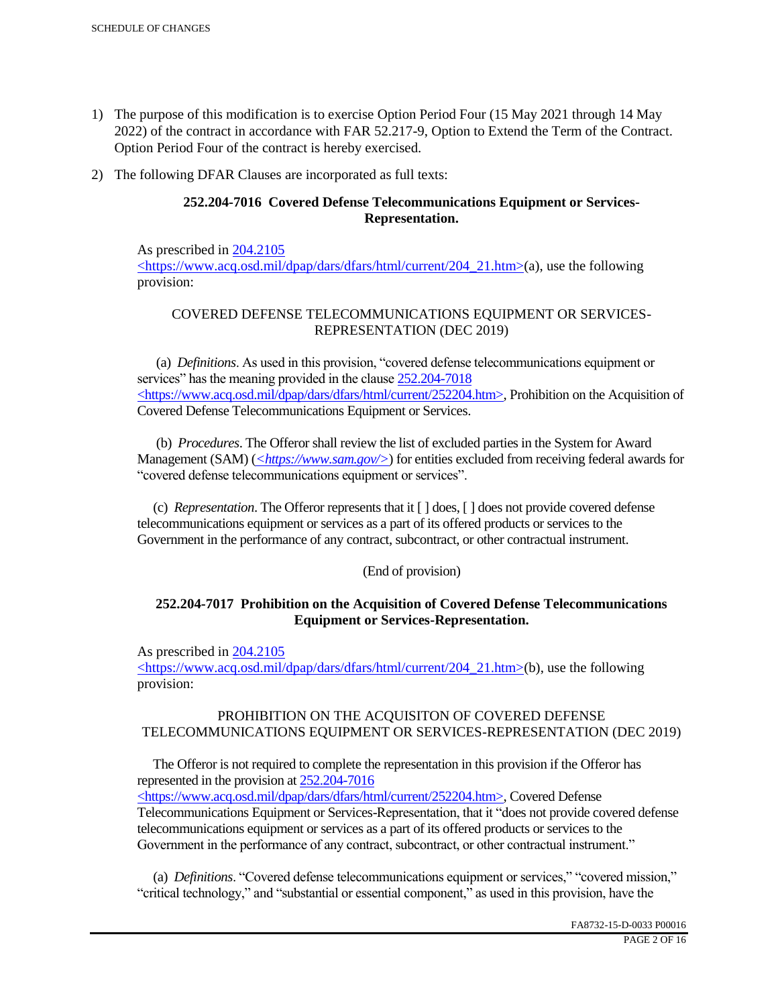- 1) The purpose of this modification is to exercise Option Period Four (15 May 2021 through 14 May 2022) of the contract in accordance with FAR 52.217-9, Option to Extend the Term of the Contract. Option Period Four of the contract is hereby exercised.
- 2) The following DFAR Clauses are incorporated as full texts:

# **252.204-7016 Covered Defense Telecommunications Equipment or Services-Representation.**

As prescribed in 204.2105 <https://www.acq.osd.mil/dpap/dars/dfars/html/current/204\_21.htm>(a), use the following provision:

# COVERED DEFENSE TELECOMMUNICATIONS EQUIPMENT OR SERVICES-REPRESENTATION (DEC 2019)

 (a) *Definitions*. As used in this provision, "covered defense telecommunications equipment or services" has the meaning provided in the clause  $252.204 - 7018$ <https://www.acq.osd.mil/dpap/dars/dfars/html/current/252204.htm>, Prohibition on the Acquisition of Covered Defense Telecommunications Equipment or Services.

 (b) *Procedures*. The Offeror shall review the list of excluded parties in the System for Award Management (SAM) (*<https://www.sam.gov/>*) for entities excluded from receiving federal awards for "covered defense telecommunications equipment or services".

 (c) *Representation*. The Offeror represents that it [ ] does, [ ] does not provide covered defense telecommunications equipment or services as a part of its offered products or services to the Government in the performance of any contract, subcontract, or other contractual instrument.

## (End of provision)

## **252.204-7017 Prohibition on the Acquisition of Covered Defense Telecommunications Equipment or Services-Representation.**

As prescribed in 204.2105

<https://www.acq.osd.mil/dpap/dars/dfars/html/current/204\_21.htm>(b), use the following provision:

## PROHIBITION ON THE ACQUISITON OF COVERED DEFENSE TELECOMMUNICATIONS EQUIPMENT OR SERVICES-REPRESENTATION (DEC 2019)

 The Offeror is not required to complete the representation in this provision if the Offeror has represented in the provision at 252.204-7016

<https://www.acq.osd.mil/dpap/dars/dfars/html/current/252204.htm>, Covered Defense Telecommunications Equipment or Services-Representation, that it "does not provide covered defense telecommunications equipment or services as a part of its offered products or services to the Government in the performance of any contract, subcontract, or other contractual instrument."

 (a) *Definitions*. "Covered defense telecommunications equipment or services," "covered mission," "critical technology," and "substantial or essential component," as used in this provision, have the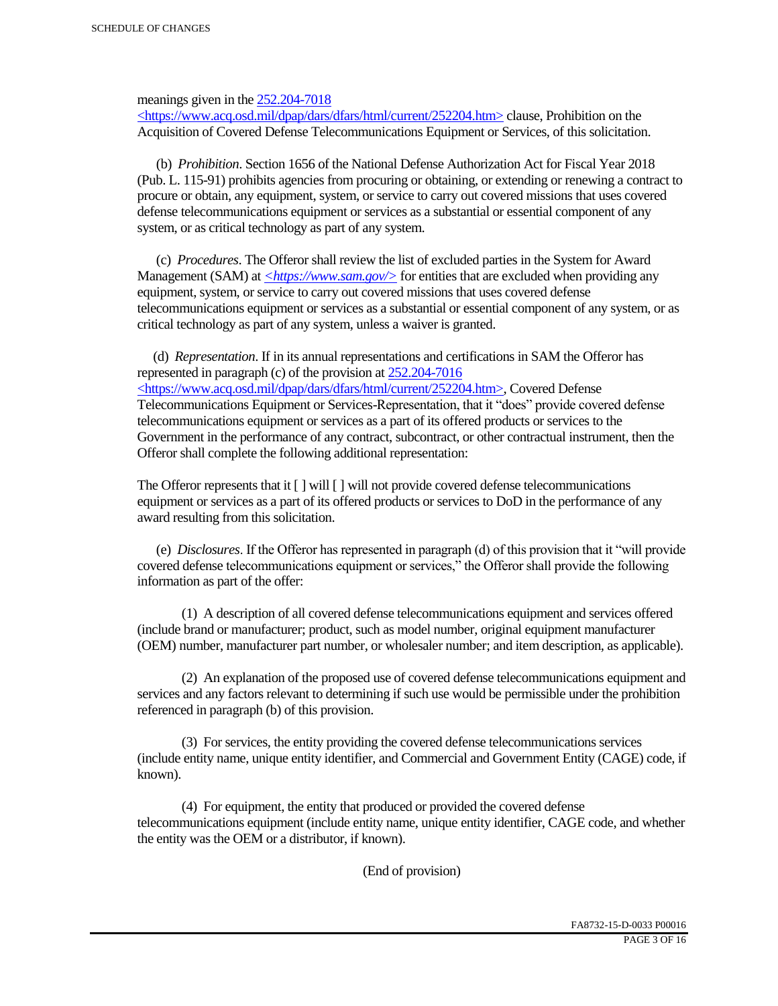meanings given in the 252.204-7018

 $\langle$ https://www.acq.osd.mil/dpap/dars/dfars/html/current/252204.htm> clause, Prohibition on the Acquisition of Covered Defense Telecommunications Equipment or Services, of this solicitation.

 (b) *Prohibition*. Section 1656 of the National Defense Authorization Act for Fiscal Year 2018 (Pub. L. 115-91) prohibits agencies from procuring or obtaining, or extending or renewing a contract to procure or obtain, any equipment, system, or service to carry out covered missions that uses covered defense telecommunications equipment or services as a substantial or essential component of any system, or as critical technology as part of any system.

 (c) *Procedures*. The Offeror shall review the list of excluded parties in the System for Award Management (SAM) at  $\leq$ https://www.sam.gov/> for entities that are excluded when providing any equipment, system, or service to carry out covered missions that uses covered defense telecommunications equipment or services as a substantial or essential component of any system, or as critical technology as part of any system, unless a waiver is granted.

 (d) *Representation*. If in its annual representations and certifications in SAM the Offeror has represented in paragraph (c) of the provision at 252.204-7016 <https://www.acq.osd.mil/dpap/dars/dfars/html/current/252204.htm>, Covered Defense Telecommunications Equipment or Services-Representation, that it "does" provide covered defense telecommunications equipment or services as a part of its offered products or services to the Government in the performance of any contract, subcontract, or other contractual instrument, then the Offeror shall complete the following additional representation:

The Offeror represents that it  $\lceil \cdot \rceil$  will  $\lceil \cdot \rceil$  will not provide covered defense telecommunications equipment or services as a part of its offered products or services to DoD in the performance of any award resulting from this solicitation.

 (e) *Disclosures*. If the Offeror has represented in paragraph (d) of this provision that it "will provide covered defense telecommunications equipment or services," the Offeror shall provide the following information as part of the offer:

 (1) A description of all covered defense telecommunications equipment and services offered (include brand or manufacturer; product, such as model number, original equipment manufacturer (OEM) number, manufacturer part number, or wholesaler number; and item description, as applicable).

 (2) An explanation of the proposed use of covered defense telecommunications equipment and services and any factors relevant to determining if such use would be permissible under the prohibition referenced in paragraph (b) of this provision.

 (3) For services, the entity providing the covered defense telecommunications services (include entity name, unique entity identifier, and Commercial and Government Entity (CAGE) code, if known).

 (4) For equipment, the entity that produced or provided the covered defense telecommunications equipment (include entity name, unique entity identifier, CAGE code, and whether the entity was the OEM or a distributor, if known).

(End of provision)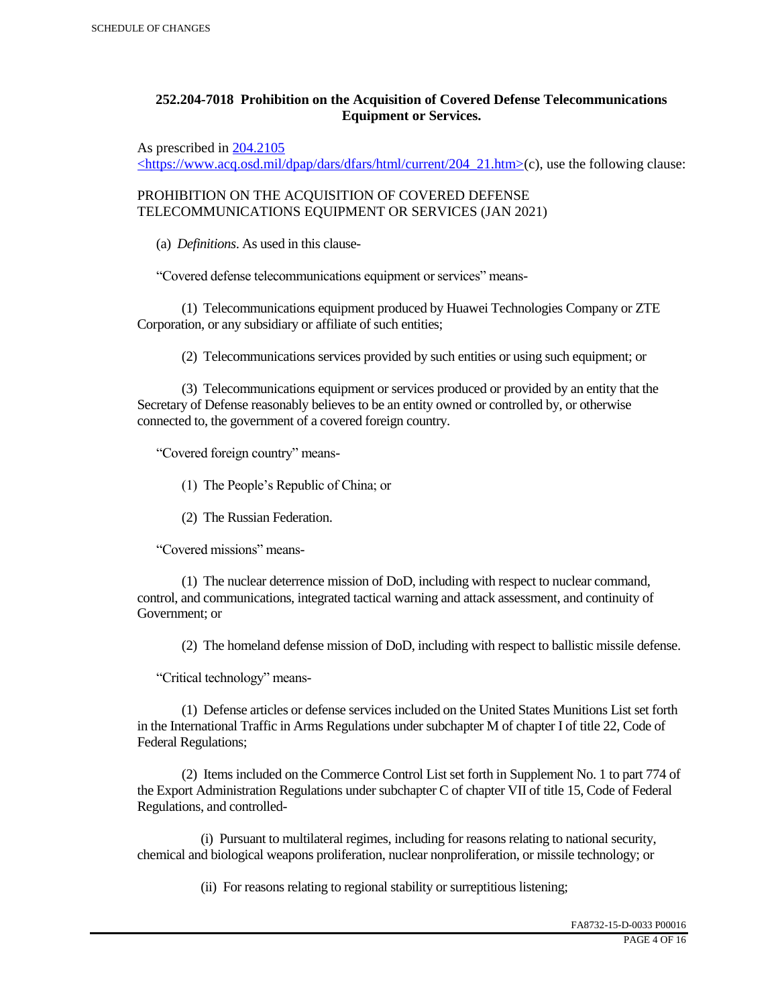# **252.204-7018 Prohibition on the Acquisition of Covered Defense Telecommunications Equipment or Services.**

As prescribed in 204.2105

 $\langle$ https://www.acq.osd.mil/dpap/dars/dfars/html/current/204\_21.htm>(c), use the following clause:

PROHIBITION ON THE ACQUISITION OF COVERED DEFENSE TELECOMMUNICATIONS EQUIPMENT OR SERVICES (JAN 2021)

(a) *Definitions*. As used in this clause-

"Covered defense telecommunications equipment or services" means-

 (1) Telecommunications equipment produced by Huawei Technologies Company or ZTE Corporation, or any subsidiary or affiliate of such entities;

(2) Telecommunications services provided by such entities or using such equipment; or

 (3) Telecommunications equipment or services produced or provided by an entity that the Secretary of Defense reasonably believes to be an entity owned or controlled by, or otherwise connected to, the government of a covered foreign country.

"Covered foreign country" means-

(1) The People's Republic of China; or

(2) The Russian Federation.

"Covered missions" means-

 (1) The nuclear deterrence mission of DoD, including with respect to nuclear command, control, and communications, integrated tactical warning and attack assessment, and continuity of Government; or

(2) The homeland defense mission of DoD, including with respect to ballistic missile defense.

"Critical technology" means-

 (1) Defense articles or defense services included on the United States Munitions List set forth in the International Traffic in Arms Regulations under subchapter M of chapter I of title 22, Code of Federal Regulations;

 (2) Items included on the Commerce Control List set forth in Supplement No. 1 to part 774 of the Export Administration Regulations under subchapter C of chapter VII of title 15, Code of Federal Regulations, and controlled-

 (i) Pursuant to multilateral regimes, including for reasons relating to national security, chemical and biological weapons proliferation, nuclear nonproliferation, or missile technology; or

(ii) For reasons relating to regional stability or surreptitious listening;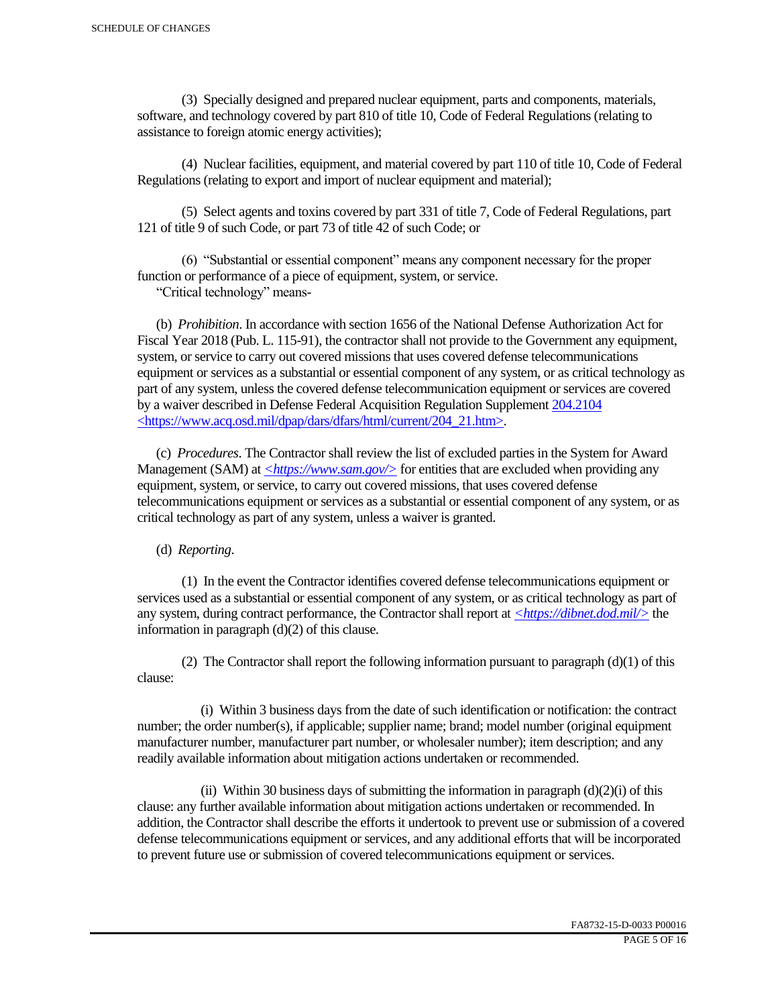(3) Specially designed and prepared nuclear equipment, parts and components, materials, software, and technology covered by part 810 of title 10, Code of Federal Regulations (relating to assistance to foreign atomic energy activities);

 (4) Nuclear facilities, equipment, and material covered by part 110 of title 10, Code of Federal Regulations (relating to export and import of nuclear equipment and material);

 (5) Select agents and toxins covered by part 331 of title 7, Code of Federal Regulations, part 121 of title 9 of such Code, or part 73 of title 42 of such Code; or

 (6) "Substantial or essential component" means any component necessary for the proper function or performance of a piece of equipment, system, or service.

"Critical technology" means-

 (b) *Prohibition*. In accordance with section 1656 of the National Defense Authorization Act for Fiscal Year 2018 (Pub. L. 115-91), the contractor shall not provide to the Government any equipment, system, or service to carry out covered missions that uses covered defense telecommunications equipment or services as a substantial or essential component of any system, or as critical technology as part of any system, unless the covered defense telecommunication equipment or services are covered by a waiver described in Defense Federal Acquisition Regulation Supplement 204.2104 <https://www.acq.osd.mil/dpap/dars/dfars/html/current/204\_21.htm>.

 (c) *Procedures*. The Contractor shall review the list of excluded parties in the System for Award Management (SAM) at  $\langle \frac{https://www.sam.gov/}{>}$  for entities that are excluded when providing any equipment, system, or service, to carry out covered missions, that uses covered defense telecommunications equipment or services as a substantial or essential component of any system, or as critical technology as part of any system, unless a waiver is granted.

(d) *Reporting*.

 (1) In the event the Contractor identifies covered defense telecommunications equipment or services used as a substantial or essential component of any system, or as critical technology as part of any system, during contract performance, the Contractor shall report at *<https://dibnet.dod.mil/>* the information in paragraph (d)(2) of this clause.

(2) The Contractor shall report the following information pursuant to paragraph  $(d)(1)$  of this clause:

 (i) Within 3 business days from the date of such identification or notification: the contract number; the order number(s), if applicable; supplier name; brand; model number (original equipment manufacturer number, manufacturer part number, or wholesaler number); item description; and any readily available information about mitigation actions undertaken or recommended.

(ii) Within 30 business days of submitting the information in paragraph  $(d)(2)(i)$  of this clause: any further available information about mitigation actions undertaken or recommended. In addition, the Contractor shall describe the efforts it undertook to prevent use or submission of a covered defense telecommunications equipment or services, and any additional efforts that will be incorporated to prevent future use or submission of covered telecommunications equipment or services.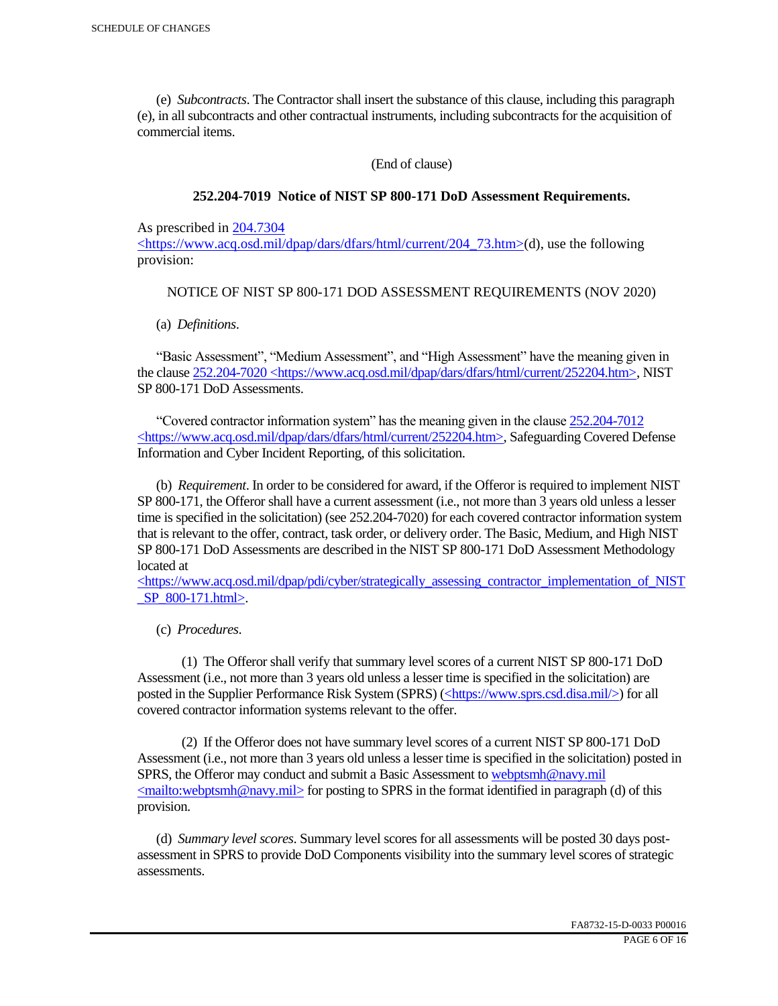(e) *Subcontracts*. The Contractor shall insert the substance of this clause, including this paragraph (e), in all subcontracts and other contractual instruments, including subcontracts for the acquisition of commercial items.

(End of clause)

#### **252.204-7019 Notice of NIST SP 800-171 DoD Assessment Requirements.**

As prescribed in 204.7304

 $\langle$ https://www.acq.osd.mil/dpap/dars/dfars/html/current/204 73.htm>(d), use the following provision:

#### NOTICE OF NIST SP 800-171 DOD ASSESSMENT REQUIREMENTS (NOV 2020)

(a) *Definitions*.

 "Basic Assessment", "Medium Assessment", and "High Assessment" have the meaning given in the clause 252.204-7020 <https://www.acq.osd.mil/dpap/dars/dfars/html/current/252204.htm>, NIST SP 800-171 DoD Assessments.

 "Covered contractor information system" has the meaning given in the clause 252.204-7012 <https://www.acq.osd.mil/dpap/dars/dfars/html/current/252204.htm>, Safeguarding Covered Defense Information and Cyber Incident Reporting, of this solicitation.

 (b) *Requirement*. In order to be considered for award, if the Offeror is required to implement NIST SP 800-171, the Offeror shall have a current assessment (i.e., not more than 3 years old unless a lesser time is specified in the solicitation) (see 252.204-7020) for each covered contractor information system that is relevant to the offer, contract, task order, or delivery order. The Basic, Medium, and High NIST SP 800-171 DoD Assessments are described in the NIST SP 800-171 DoD Assessment Methodology located at

 $\langle$ https://www.acq.osd.mil/dpap/pdi/cyber/strategically\_assessing\_contractor\_implementation\_of\_NIST \_SP\_800-171.html>.

(c) *Procedures*.

 (1) The Offeror shall verify that summary level scores of a current NIST SP 800-171 DoD Assessment (i.e., not more than 3 years old unless a lesser time is specified in the solicitation) are posted in the Supplier Performance Risk System (SPRS) (<https://www.sprs.csd.disa.mil/>) for all covered contractor information systems relevant to the offer.

 (2) If the Offeror does not have summary level scores of a current NIST SP 800-171 DoD Assessment (i.e., not more than 3 years old unless a lesser time is specified in the solicitation) posted in SPRS, the Offeror may conduct and submit a Basic Assessment to webptsmh@navy.mil  $\leq$ mailto:webptsmh@navy.mil> for posting to SPRS in the format identified in paragraph (d) of this provision.

 (d) *Summary level scores*. Summary level scores for all assessments will be posted 30 days postassessment in SPRS to provide DoD Components visibility into the summary level scores of strategic assessments.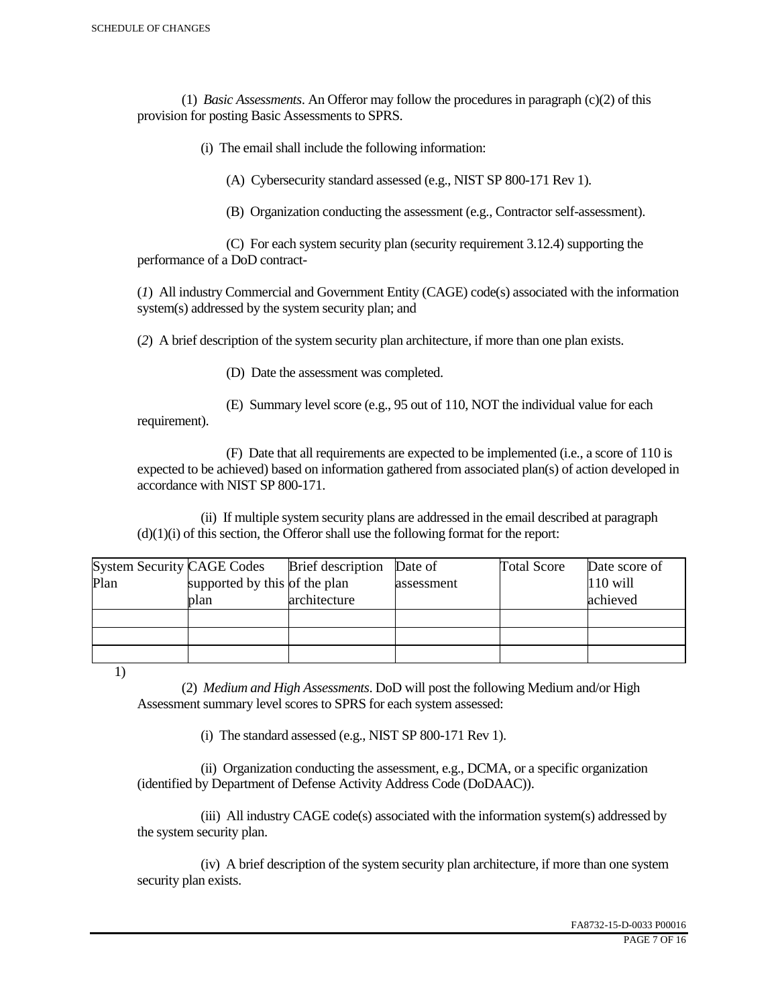(1) *Basic Assessments*. An Offeror may follow the procedures in paragraph (c)(2) of this provision for posting Basic Assessments to SPRS.

(i) The email shall include the following information:

(A) Cybersecurity standard assessed (e.g., NIST SP 800-171 Rev 1).

(B) Organization conducting the assessment (e.g., Contractor self-assessment).

 (C) For each system security plan (security requirement 3.12.4) supporting the performance of a DoD contract-

(*1*) All industry Commercial and Government Entity (CAGE) code(s) associated with the information system(s) addressed by the system security plan; and

(*2*) A brief description of the system security plan architecture, if more than one plan exists.

(D) Date the assessment was completed.

 (E) Summary level score (e.g., 95 out of 110, NOT the individual value for each requirement).

 (F) Date that all requirements are expected to be implemented (i.e., a score of 110 is expected to be achieved) based on information gathered from associated plan(s) of action developed in accordance with NIST SP 800-171.

 (ii) If multiple system security plans are addressed in the email described at paragraph  $(d)(1)(i)$  of this section, the Offeror shall use the following format for the report:

| <b>System Security CAGE Codes</b> |                               | <b>Brief</b> description | Date of    | <b>Total Score</b> | Date score of |
|-----------------------------------|-------------------------------|--------------------------|------------|--------------------|---------------|
| Plan                              | supported by this of the plan |                          | assessment |                    | $110$ will    |
|                                   | plan                          | architecture             |            |                    | achieved      |
|                                   |                               |                          |            |                    |               |
|                                   |                               |                          |            |                    |               |
|                                   |                               |                          |            |                    |               |

1)

 (2) *Medium and High Assessments*. DoD will post the following Medium and/or High Assessment summary level scores to SPRS for each system assessed:

(i) The standard assessed (e.g., NIST SP 800-171 Rev 1).

 (ii) Organization conducting the assessment, e.g., DCMA, or a specific organization (identified by Department of Defense Activity Address Code (DoDAAC)).

 (iii) All industry CAGE code(s) associated with the information system(s) addressed by the system security plan.

 (iv) A brief description of the system security plan architecture, if more than one system security plan exists.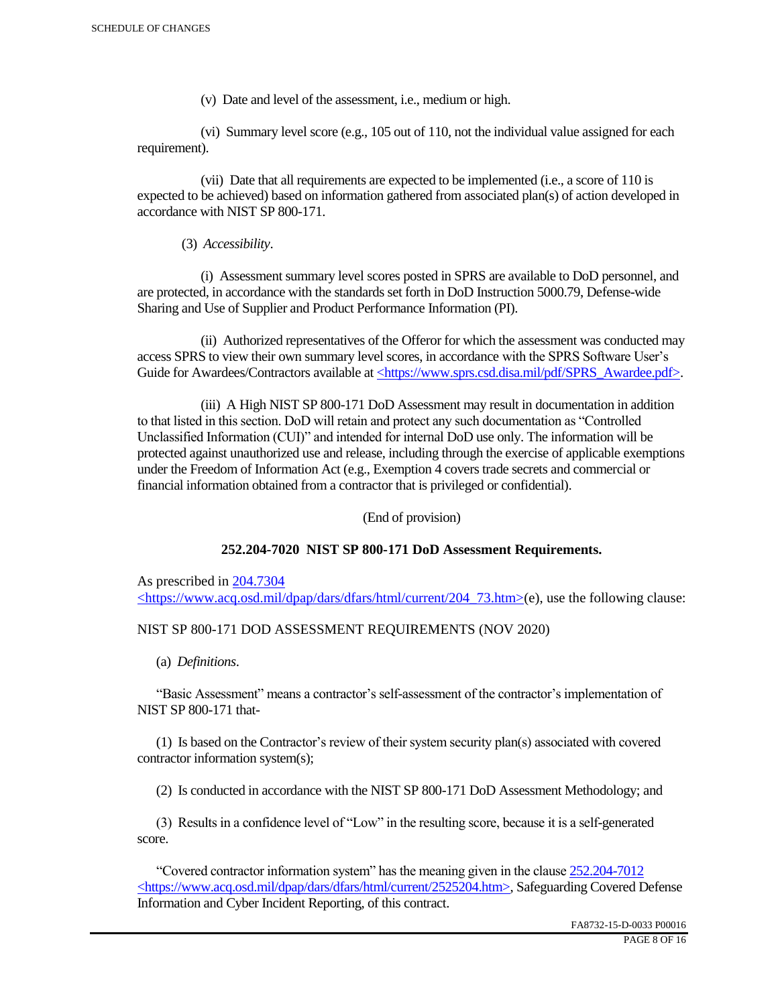(v) Date and level of the assessment, i.e., medium or high.

 (vi) Summary level score (e.g., 105 out of 110, not the individual value assigned for each requirement).

 (vii) Date that all requirements are expected to be implemented (i.e., a score of 110 is expected to be achieved) based on information gathered from associated plan(s) of action developed in accordance with NIST SP 800-171.

(3) *Accessibility*.

 (i) Assessment summary level scores posted in SPRS are available to DoD personnel, and are protected, in accordance with the standards set forth in DoD Instruction 5000.79, Defense-wide Sharing and Use of Supplier and Product Performance Information (PI).

 (ii) Authorized representatives of the Offeror for which the assessment was conducted may access SPRS to view their own summary level scores, in accordance with the SPRS Software User's Guide for Awardees/Contractors available at <https://www.sprs.csd.disa.mil/pdf/SPRS\_Awardee.pdf>.

 (iii) A High NIST SP 800-171 DoD Assessment may result in documentation in addition to that listed in this section. DoD will retain and protect any such documentation as "Controlled Unclassified Information (CUI)" and intended for internal DoD use only. The information will be protected against unauthorized use and release, including through the exercise of applicable exemptions under the Freedom of Information Act (e.g., Exemption 4 covers trade secrets and commercial or financial information obtained from a contractor that is privileged or confidential).

(End of provision)

## **252.204-7020 NIST SP 800-171 DoD Assessment Requirements.**

As prescribed in 204.7304 <https://www.acq.osd.mil/dpap/dars/dfars/html/current/204\_73.htm>(e), use the following clause:

## NIST SP 800-171 DOD ASSESSMENT REQUIREMENTS (NOV 2020)

(a) *Definitions*.

 "Basic Assessment" means a contractor's self-assessment of the contractor's implementation of NIST SP 800-171 that-

 (1) Is based on the Contractor's review of their system security plan(s) associated with covered contractor information system(s);

(2) Is conducted in accordance with the NIST SP 800-171 DoD Assessment Methodology; and

 (3) Results in a confidence level of "Low" in the resulting score, because it is a self-generated score.

 "Covered contractor information system" has the meaning given in the clause 252.204-7012 <https://www.acq.osd.mil/dpap/dars/dfars/html/current/2525204.htm>, Safeguarding Covered Defense Information and Cyber Incident Reporting, of this contract.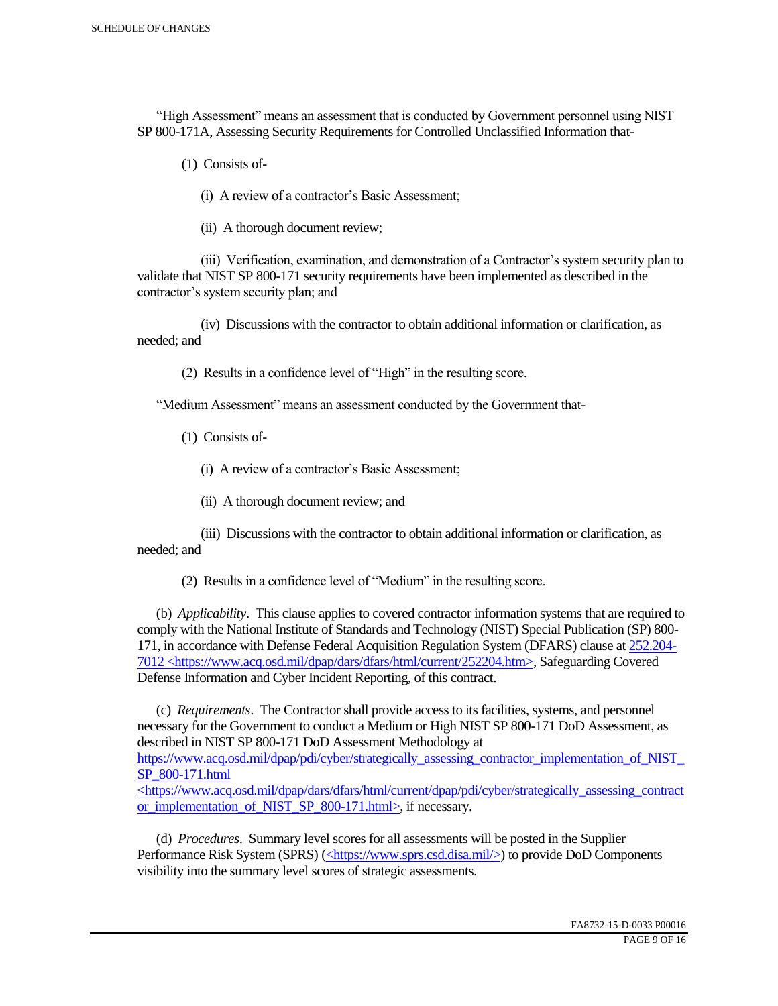"High Assessment" means an assessment that is conducted by Government personnel using NIST SP 800-171A, Assessing Security Requirements for Controlled Unclassified Information that-

(1) Consists of-

(i) A review of a contractor's Basic Assessment;

(ii) A thorough document review;

 (iii) Verification, examination, and demonstration of a Contractor's system security plan to validate that NIST SP 800-171 security requirements have been implemented as described in the contractor's system security plan; and

 (iv) Discussions with the contractor to obtain additional information or clarification, as needed; and

(2) Results in a confidence level of "High" in the resulting score.

"Medium Assessment" means an assessment conducted by the Government that-

(1) Consists of-

(i) A review of a contractor's Basic Assessment;

(ii) A thorough document review; and

 (iii) Discussions with the contractor to obtain additional information or clarification, as needed; and

(2) Results in a confidence level of "Medium" in the resulting score.

 (b) *Applicability*. This clause applies to covered contractor information systems that are required to comply with the National Institute of Standards and Technology (NIST) Special Publication (SP) 800- 171, in accordance with Defense Federal Acquisition Regulation System (DFARS) clause at 252.204- 7012 <https://www.acq.osd.mil/dpap/dars/dfars/html/current/252204.htm>, Safeguarding Covered Defense Information and Cyber Incident Reporting, of this contract.

 (c) *Requirements*. The Contractor shall provide access to its facilities, systems, and personnel necessary for the Government to conduct a Medium or High NIST SP 800-171 DoD Assessment, as described in NIST SP 800-171 DoD Assessment Methodology at https://www.acq.osd.mil/dpap/pdi/cyber/strategically\_assessing\_contractor\_implementation\_of\_NIST\_ SP\_800-171.html <https://www.acq.osd.mil/dpap/dars/dfars/html/current/dpap/pdi/cyber/strategically\_assessing\_contract

or implementation of NIST SP 800-171.html>, if necessary.

 (d) *Procedures*. Summary level scores for all assessments will be posted in the Supplier Performance Risk System (SPRS) (<https://www.sprs.csd.disa.mil/>) to provide DoD Components visibility into the summary level scores of strategic assessments.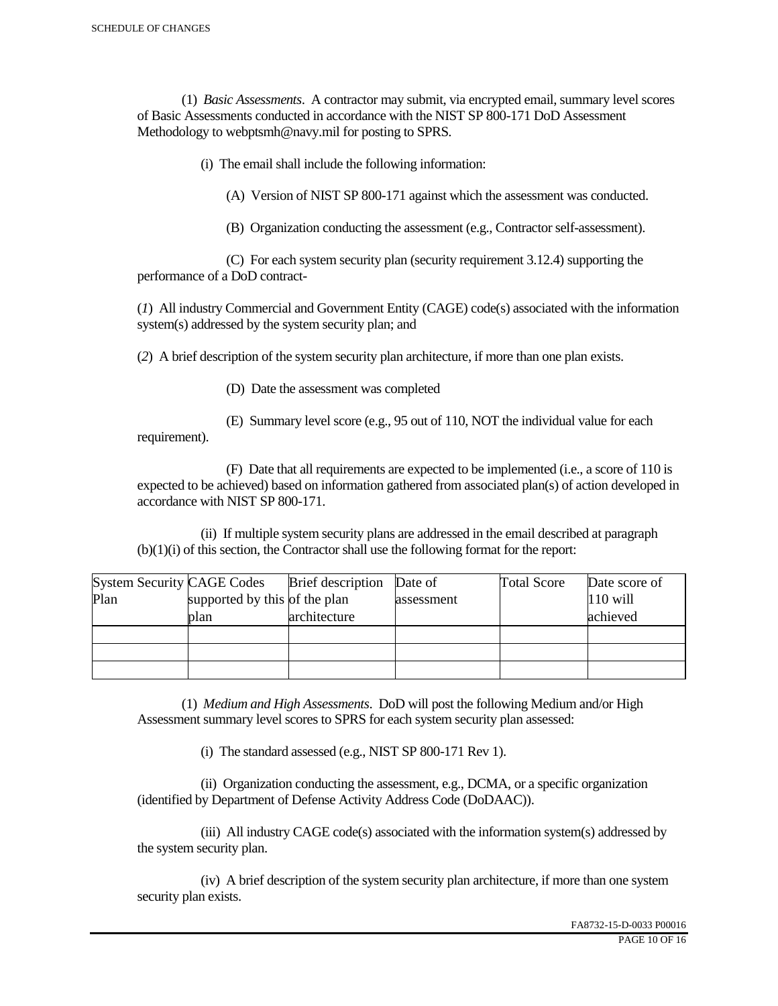(1) *Basic Assessments*. A contractor may submit, via encrypted email, summary level scores of Basic Assessments conducted in accordance with the NIST SP 800-171 DoD Assessment Methodology to webptsmh@navy.mil for posting to SPRS.

(i) The email shall include the following information:

(A) Version of NIST SP 800-171 against which the assessment was conducted.

(B) Organization conducting the assessment (e.g., Contractor self-assessment).

 (C) For each system security plan (security requirement 3.12.4) supporting the performance of a DoD contract-

(*1*) All industry Commercial and Government Entity (CAGE) code(s) associated with the information system(s) addressed by the system security plan; and

(*2*) A brief description of the system security plan architecture, if more than one plan exists.

(D) Date the assessment was completed

requirement).

(E) Summary level score (e.g., 95 out of 110, NOT the individual value for each

 (F) Date that all requirements are expected to be implemented (i.e., a score of 110 is expected to be achieved) based on information gathered from associated plan(s) of action developed in accordance with NIST SP 800-171.

 (ii) If multiple system security plans are addressed in the email described at paragraph (b)(1)(i) of this section, the Contractor shall use the following format for the report:

| <b>System Security CAGE Codes</b> |                               | <b>Brief</b> description | Date of    | <b>Total Score</b> | Date score of |
|-----------------------------------|-------------------------------|--------------------------|------------|--------------------|---------------|
| Plan                              | supported by this of the plan |                          | assessment |                    | $110$ will    |
|                                   | plan                          | architecture             |            |                    | achieved      |
|                                   |                               |                          |            |                    |               |
|                                   |                               |                          |            |                    |               |
|                                   |                               |                          |            |                    |               |

 (1) *Medium and High Assessments*. DoD will post the following Medium and/or High Assessment summary level scores to SPRS for each system security plan assessed:

(i) The standard assessed (e.g., NIST SP 800-171 Rev 1).

 (ii) Organization conducting the assessment, e.g., DCMA, or a specific organization (identified by Department of Defense Activity Address Code (DoDAAC)).

 (iii) All industry CAGE code(s) associated with the information system(s) addressed by the system security plan.

 (iv) A brief description of the system security plan architecture, if more than one system security plan exists.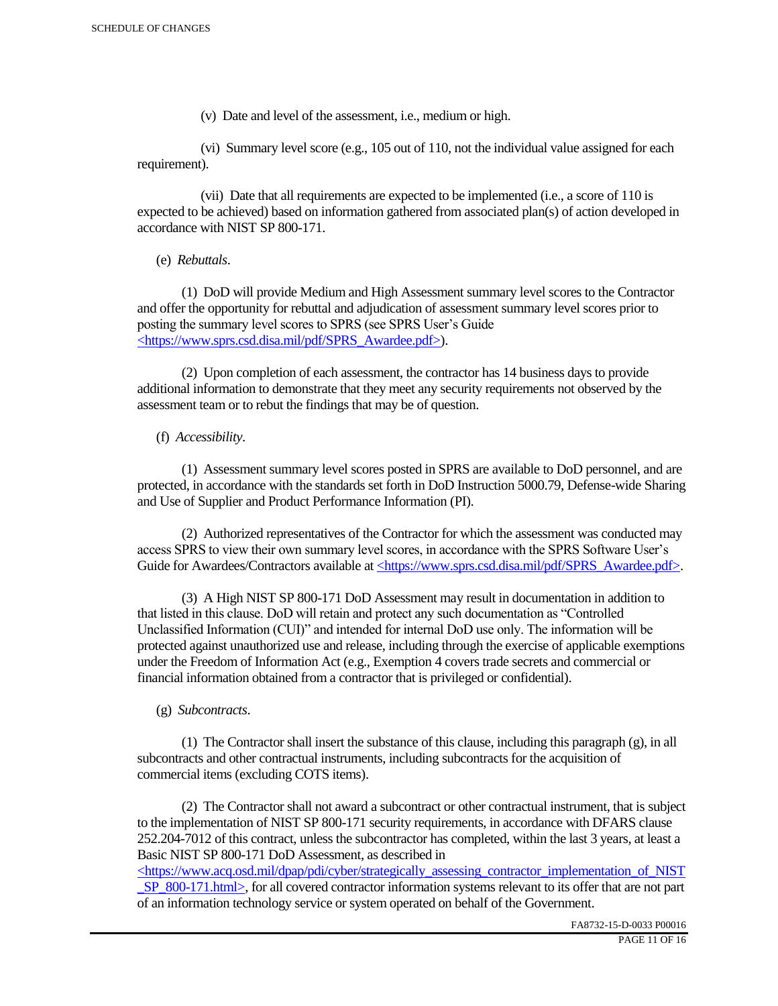(v) Date and level of the assessment, i.e., medium or high.

 (vi) Summary level score (e.g., 105 out of 110, not the individual value assigned for each requirement).

 (vii) Date that all requirements are expected to be implemented (i.e., a score of 110 is expected to be achieved) based on information gathered from associated plan(s) of action developed in accordance with NIST SP 800-171.

(e) *Rebuttals*.

 (1) DoD will provide Medium and High Assessment summary level scores to the Contractor and offer the opportunity for rebuttal and adjudication of assessment summary level scores prior to posting the summary level scores to SPRS (see SPRS User's Guide <https://www.sprs.csd.disa.mil/pdf/SPRS\_Awardee.pdf>).

 (2) Upon completion of each assessment, the contractor has 14 business days to provide additional information to demonstrate that they meet any security requirements not observed by the assessment team or to rebut the findings that may be of question.

## (f) *Accessibility*.

 (1) Assessment summary level scores posted in SPRS are available to DoD personnel, and are protected, in accordance with the standards set forth in DoD Instruction 5000.79, Defense-wide Sharing and Use of Supplier and Product Performance Information (PI).

 (2) Authorized representatives of the Contractor for which the assessment was conducted may access SPRS to view their own summary level scores, in accordance with the SPRS Software User's Guide for Awardees/Contractors available at <https://www.sprs.csd.disa.mil/pdf/SPRS\_Awardee.pdf>.

 (3) A High NIST SP 800-171 DoD Assessment may result in documentation in addition to that listed in this clause. DoD will retain and protect any such documentation as "Controlled Unclassified Information (CUI)" and intended for internal DoD use only. The information will be protected against unauthorized use and release, including through the exercise of applicable exemptions under the Freedom of Information Act (e.g., Exemption 4 covers trade secrets and commercial or financial information obtained from a contractor that is privileged or confidential).

## (g) *Subcontracts*.

(1) The Contractor shall insert the substance of this clause, including this paragraph  $(g)$ , in all subcontracts and other contractual instruments, including subcontracts for the acquisition of commercial items (excluding COTS items).

 (2) The Contractor shall not award a subcontract or other contractual instrument, that is subject to the implementation of NIST SP 800-171 security requirements, in accordance with DFARS clause 252.204-7012 of this contract, unless the subcontractor has completed, within the last 3 years, at least a Basic NIST SP 800-171 DoD Assessment, as described in

 $\langle$ https://www.acq.osd.mil/dpap/pdi/cyber/strategically\_assessing\_contractor\_implementation\_of\_NIST SP\_800-171.html>, for all covered contractor information systems relevant to its offer that are not part of an information technology service or system operated on behalf of the Government.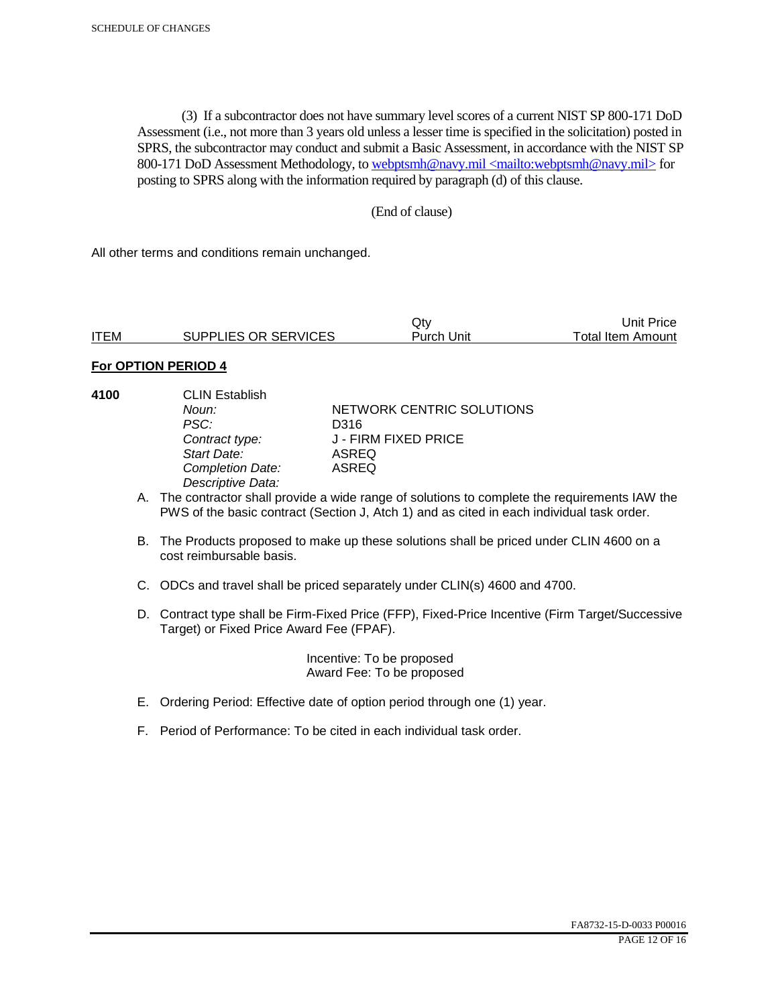(3) If a subcontractor does not have summary level scores of a current NIST SP 800-171 DoD Assessment (i.e., not more than 3 years old unless a lesser time is specified in the solicitation) posted in SPRS, the subcontractor may conduct and submit a Basic Assessment, in accordance with the NIST SP 800-171 DoD Assessment Methodology, to webptsmh@navy.mil <mailto:webptsmh@navy.mil> for posting to SPRS along with the information required by paragraph (d) of this clause.

#### (End of clause)

All other terms and conditions remain unchanged.

|             |                      | Jt۱        | Unit Price        |
|-------------|----------------------|------------|-------------------|
| <b>ITEM</b> | SUPPLIES OR SERVICES | Purch Unit | Total Item Amount |

#### **For OPTION PERIOD 4**

| 4100 | <b>CLIN Establish</b><br>Noun:<br>PSC:<br>Contract type:<br>Start Date:<br><b>Completion Date:</b><br>Descriptive Data: | NETWORK CENTRIC SOLUTIONS<br>D316<br>J - FIRM FIXED PRICE<br>ASREQ<br>ASREQ                                                                                                                 |
|------|-------------------------------------------------------------------------------------------------------------------------|---------------------------------------------------------------------------------------------------------------------------------------------------------------------------------------------|
|      |                                                                                                                         | A. The contractor shall provide a wide range of solutions to complete the requirements IAW the<br>PWS of the basic contract (Section J, Atch 1) and as cited in each individual task order. |
|      | cost reimbursable basis.                                                                                                | B. The Products proposed to make up these solutions shall be priced under CLIN 4600 on a                                                                                                    |
|      |                                                                                                                         | C. ODCs and travel shall be priced separately under CLIN(s) 4600 and 4700.                                                                                                                  |

D. Contract type shall be Firm-Fixed Price (FFP), Fixed-Price Incentive (Firm Target/Successive Target) or Fixed Price Award Fee (FPAF).

> Incentive: To be proposed Award Fee: To be proposed

- E. Ordering Period: Effective date of option period through one (1) year.
- F. Period of Performance: To be cited in each individual task order.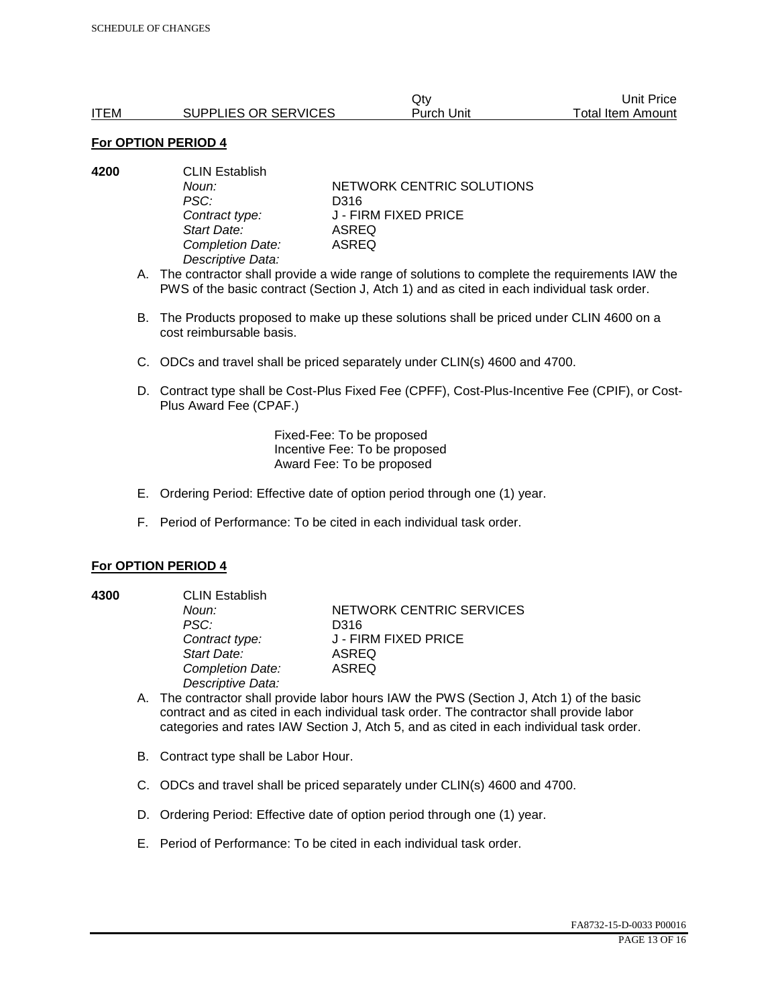|             |                      | Qtv        | Unit Price        |
|-------------|----------------------|------------|-------------------|
| <b>ITEM</b> | SUPPLIES OR SERVICES | Purch Unit | Total Item Amount |

#### **For OPTION PERIOD 4**

| 4200 | <b>CLIN Establish</b> |                           |  |
|------|-----------------------|---------------------------|--|
|      | Noun:                 | NETWORK CENTRIC SOLUTIONS |  |
|      | PSC:                  | D316                      |  |
|      | Contract type:        | J - FIRM FIXED PRICE      |  |
|      | Start Date:           | ASREQ                     |  |
|      | Completion Date:      | ASREQ                     |  |
|      | Descriptive Data:     |                           |  |

- A. The contractor shall provide a wide range of solutions to complete the requirements IAW the PWS of the basic contract (Section J, Atch 1) and as cited in each individual task order.
- B. The Products proposed to make up these solutions shall be priced under CLIN 4600 on a cost reimbursable basis.
- C. ODCs and travel shall be priced separately under CLIN(s) 4600 and 4700.
- D. Contract type shall be Cost-Plus Fixed Fee (CPFF), Cost-Plus-Incentive Fee (CPIF), or Cost-Plus Award Fee (CPAF.)

Fixed-Fee: To be proposed Incentive Fee: To be proposed Award Fee: To be proposed

- E. Ordering Period: Effective date of option period through one (1) year.
- F. Period of Performance: To be cited in each individual task order.

#### **For OPTION PERIOD 4**

**4300** CLIN Establish *PSC:* D316 *Start Date:* ASREQ *Completion Date:* ASREQ *Descriptive Data:* 

**Noun: NETWORK CENTRIC SERVICES** *Contract type:* J - FIRM FIXED PRICE

- A. The contractor shall provide labor hours IAW the PWS (Section J, Atch 1) of the basic contract and as cited in each individual task order. The contractor shall provide labor categories and rates IAW Section J, Atch 5, and as cited in each individual task order.
- B. Contract type shall be Labor Hour.
- C. ODCs and travel shall be priced separately under CLIN(s) 4600 and 4700.
- D. Ordering Period: Effective date of option period through one (1) year.
- E. Period of Performance: To be cited in each individual task order.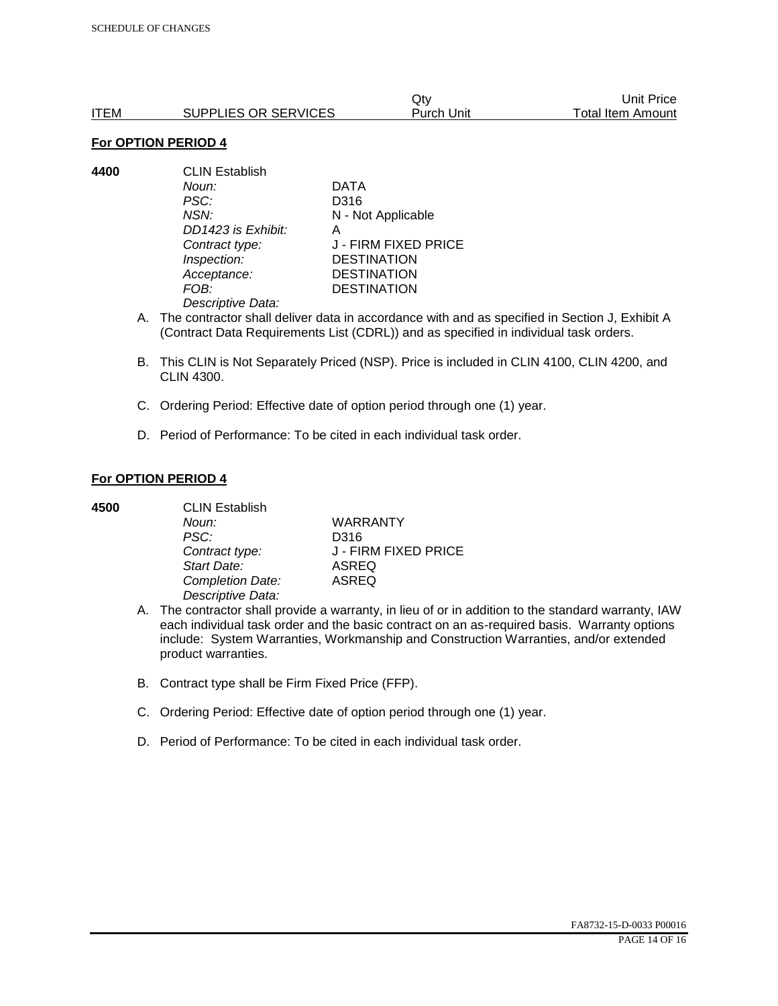|      |                      | Qtv        | Unit Price        |
|------|----------------------|------------|-------------------|
| ITEM | SUPPLIES OR SERVICES | Purch Unit | Total Item Amount |

#### **For OPTION PERIOD 4**

**4400** CLIN Establish *Noun:* DATA *PSC:* D316 *NSN:* N - Not Applicable *DD1423 is Exhibit:* A *Contract type:* J - FIRM FIXED PRICE *Inspection:* DESTINATION *Acceptance:* DESTINATION *FOB:* DESTINATION *Descriptive Data:* 

- A. The contractor shall deliver data in accordance with and as specified in Section J, Exhibit A (Contract Data Requirements List (CDRL)) and as specified in individual task orders.
- B. This CLIN is Not Separately Priced (NSP). Price is included in CLIN 4100, CLIN 4200, and CLIN 4300.
- C. Ordering Period: Effective date of option period through one (1) year.
- D. Period of Performance: To be cited in each individual task order.

#### **For OPTION PERIOD 4**

| 4500 | <b>CLIN Establish</b> |                      |  |
|------|-----------------------|----------------------|--|
|      | Noun:                 | <b>WARRANTY</b>      |  |
|      | PSC:                  | D316                 |  |
|      | Contract type:        | J - FIRM FIXED PRICE |  |
|      | Start Date:           | <b>ASREQ</b>         |  |
|      | Completion Date:      | <b>ASREQ</b>         |  |
|      | Descriptive Data:     |                      |  |

- A. The contractor shall provide a warranty, in lieu of or in addition to the standard warranty, IAW each individual task order and the basic contract on an as-required basis. Warranty options include: System Warranties, Workmanship and Construction Warranties, and/or extended product warranties.
- B. Contract type shall be Firm Fixed Price (FFP).
- C. Ordering Period: Effective date of option period through one (1) year.
- D. Period of Performance: To be cited in each individual task order.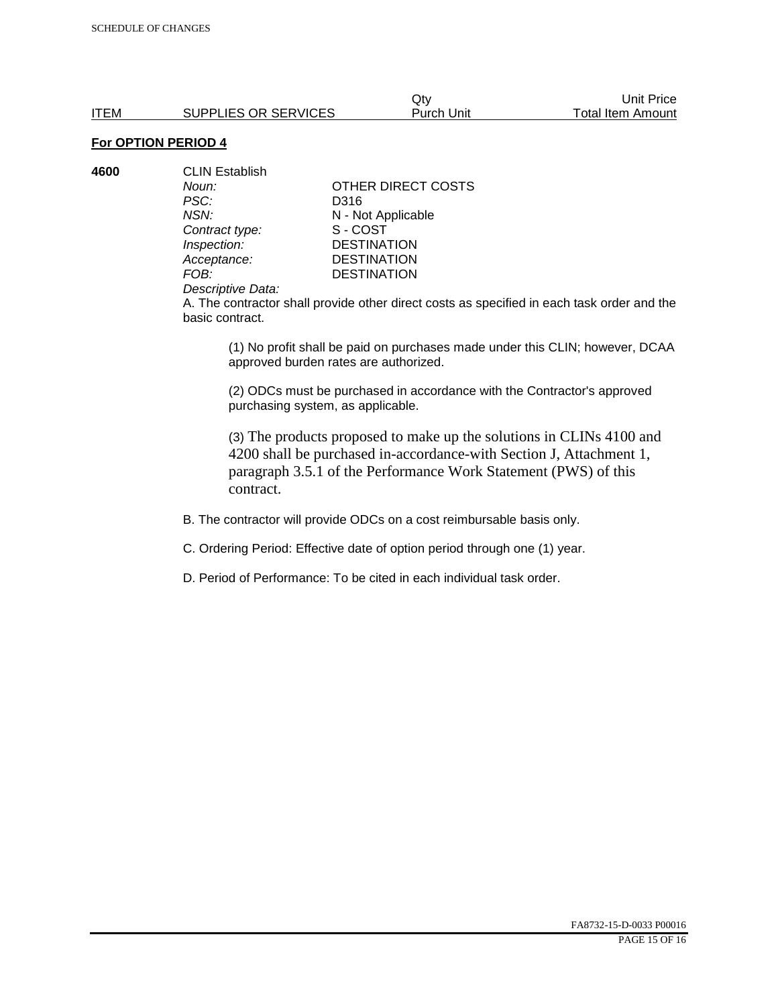Qty Unit Price ITEM SUPPLIES OR SERVICES Purch Unit Total Item Amount

# **For OPTION PERIOD 4**

**4600** CLIN Establish *PSC:* D316 **Contract type:** *Inspection:* DESTINATION<br> *Acceptance:* DESTINATION *Acceptance:* DESTINATION<br>FOB: DESTINATION

*Noun:* **CONTACT OTHER DIRECT COSTS** *NSN:* **N** - Not Applicable<br>
Contract type: S - COST **DESTINATION** 

#### *Descriptive Data:*

A. The contractor shall provide other direct costs as specified in each task order and the basic contract.

(1) No profit shall be paid on purchases made under this CLIN; however, DCAA approved burden rates are authorized.

(2) ODCs must be purchased in accordance with the Contractor's approved purchasing system, as applicable.

(3) The products proposed to make up the solutions in CLINs 4100 and 4200 shall be purchased in-accordance-with Section J, Attachment 1, paragraph 3.5.1 of the Performance Work Statement (PWS) of this contract.

B. The contractor will provide ODCs on a cost reimbursable basis only.

C. Ordering Period: Effective date of option period through one (1) year.

D. Period of Performance: To be cited in each individual task order.